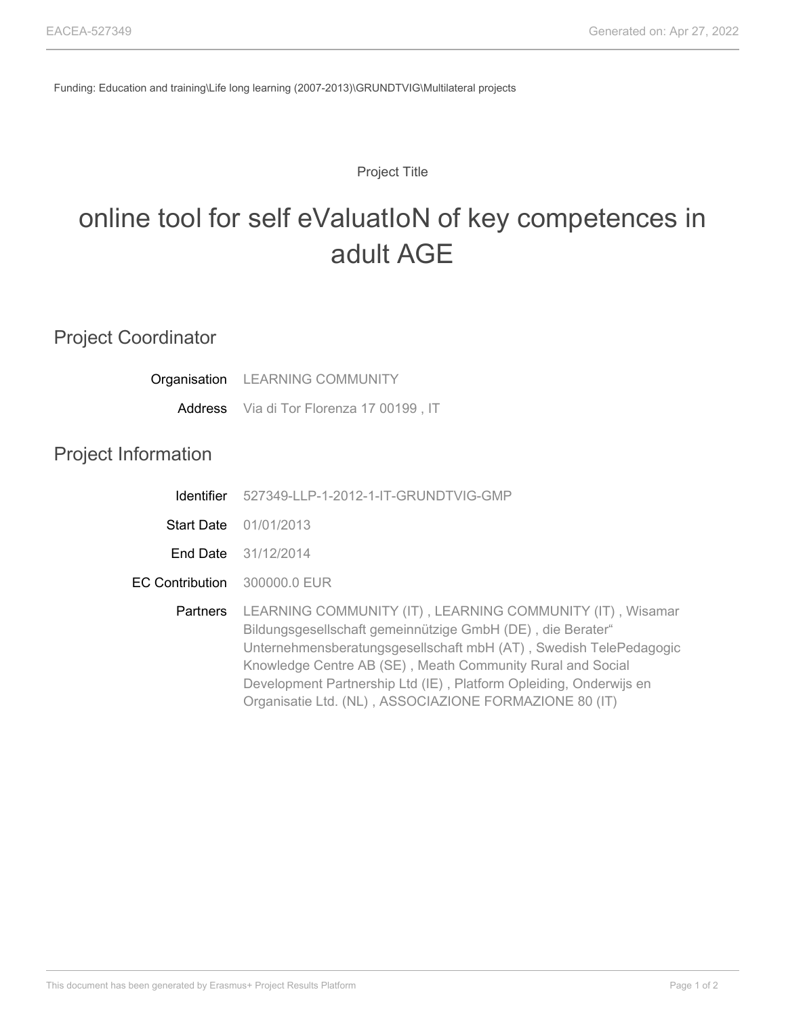Funding: Education and training\Life long learning (2007-2013)\GRUNDTVIG\Multilateral projects

## Project Title

## online tool for self eValuatIoN of key competences in adult AGE

| <b>Project Coordinator</b> |                                                                                                                                                                                                                                                                                                                                                                                            |
|----------------------------|--------------------------------------------------------------------------------------------------------------------------------------------------------------------------------------------------------------------------------------------------------------------------------------------------------------------------------------------------------------------------------------------|
|                            | Organisation LEARNING COMMUNITY                                                                                                                                                                                                                                                                                                                                                            |
|                            | Address Via di Tor Florenza 17 00199, IT                                                                                                                                                                                                                                                                                                                                                   |
| <b>Project Information</b> |                                                                                                                                                                                                                                                                                                                                                                                            |
| <b>Identifier</b>          | 527349-LLP-1-2012-1-IT-GRUNDTVIG-GMP                                                                                                                                                                                                                                                                                                                                                       |
| <b>Start Date</b>          | 01/01/2013                                                                                                                                                                                                                                                                                                                                                                                 |
|                            | <b>End Date</b> 31/12/2014                                                                                                                                                                                                                                                                                                                                                                 |
| <b>EC Contribution</b>     | 300000.0 EUR                                                                                                                                                                                                                                                                                                                                                                               |
| Partners                   | LEARNING COMMUNITY (IT), LEARNING COMMUNITY (IT), Wisamar<br>Bildungsgesellschaft gemeinnützige GmbH (DE), die Berater"<br>Unternehmensberatungsgesellschaft mbH (AT), Swedish TelePedagogic<br>Knowledge Centre AB (SE), Meath Community Rural and Social<br>Development Partnership Ltd (IE), Platform Opleiding, Onderwijs en<br>Organisatie Ltd. (NL), ASSOCIAZIONE FORMAZIONE 80 (IT) |